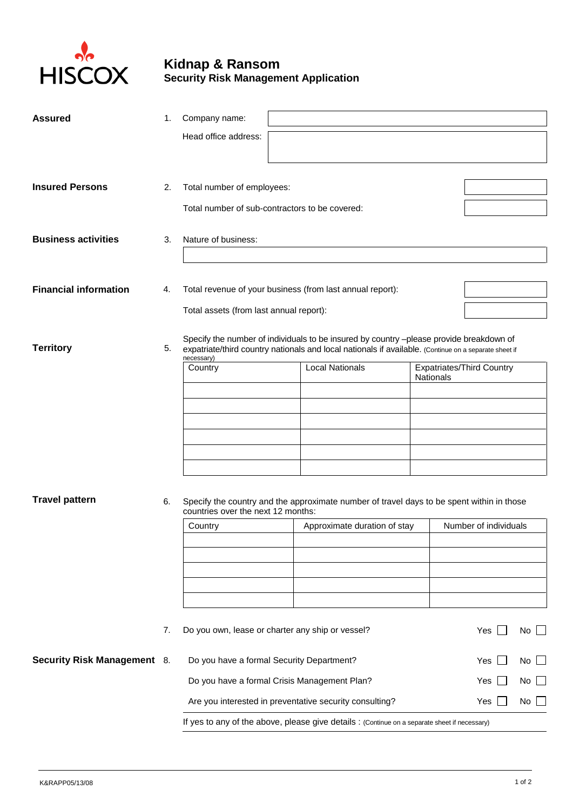

## **Kidnap & Ransom Security Risk Management Application**

| <b>Assured</b>                     | 1. | Company name:                                                                                                                                                                                                          |                                                  |                                                                                           |  |  |                                  |     |  |
|------------------------------------|----|------------------------------------------------------------------------------------------------------------------------------------------------------------------------------------------------------------------------|--------------------------------------------------|-------------------------------------------------------------------------------------------|--|--|----------------------------------|-----|--|
|                                    |    | Head office address:                                                                                                                                                                                                   |                                                  |                                                                                           |  |  |                                  |     |  |
|                                    |    |                                                                                                                                                                                                                        |                                                  |                                                                                           |  |  |                                  |     |  |
| <b>Insured Persons</b>             |    |                                                                                                                                                                                                                        |                                                  |                                                                                           |  |  |                                  |     |  |
|                                    | 2. | Total number of employees:                                                                                                                                                                                             |                                                  |                                                                                           |  |  |                                  |     |  |
|                                    |    | Total number of sub-contractors to be covered:                                                                                                                                                                         |                                                  |                                                                                           |  |  |                                  |     |  |
| <b>Business activities</b>         | 3. | Nature of business:                                                                                                                                                                                                    |                                                  |                                                                                           |  |  |                                  |     |  |
|                                    |    |                                                                                                                                                                                                                        |                                                  |                                                                                           |  |  |                                  |     |  |
| <b>Financial information</b>       | 4. | Total revenue of your business (from last annual report):                                                                                                                                                              |                                                  |                                                                                           |  |  |                                  |     |  |
|                                    |    |                                                                                                                                                                                                                        | Total assets (from last annual report):          |                                                                                           |  |  |                                  |     |  |
| <b>Territory</b>                   | 5. | Specify the number of individuals to be insured by country -please provide breakdown of<br>expatriate/third country nationals and local nationals if available. (Continue on a separate sheet if<br>necessary)         |                                                  |                                                                                           |  |  |                                  |     |  |
|                                    |    | Country                                                                                                                                                                                                                | <b>Local Nationals</b><br>Nationals              |                                                                                           |  |  | <b>Expatriates/Third Country</b> |     |  |
|                                    |    |                                                                                                                                                                                                                        |                                                  |                                                                                           |  |  |                                  |     |  |
|                                    |    |                                                                                                                                                                                                                        |                                                  |                                                                                           |  |  |                                  |     |  |
|                                    |    |                                                                                                                                                                                                                        |                                                  |                                                                                           |  |  |                                  |     |  |
|                                    |    |                                                                                                                                                                                                                        |                                                  |                                                                                           |  |  |                                  |     |  |
|                                    |    |                                                                                                                                                                                                                        |                                                  |                                                                                           |  |  |                                  |     |  |
|                                    |    |                                                                                                                                                                                                                        |                                                  |                                                                                           |  |  |                                  |     |  |
| <b>Travel pattern</b>              | 6. | countries over the next 12 months:                                                                                                                                                                                     |                                                  | Specify the country and the approximate number of travel days to be spent within in those |  |  |                                  |     |  |
|                                    |    | Country                                                                                                                                                                                                                |                                                  | Approximate duration of stay                                                              |  |  | Number of individuals            |     |  |
|                                    |    |                                                                                                                                                                                                                        |                                                  |                                                                                           |  |  |                                  |     |  |
|                                    |    |                                                                                                                                                                                                                        |                                                  |                                                                                           |  |  |                                  |     |  |
|                                    |    |                                                                                                                                                                                                                        |                                                  |                                                                                           |  |  |                                  |     |  |
|                                    |    |                                                                                                                                                                                                                        |                                                  |                                                                                           |  |  |                                  |     |  |
|                                    | 7. | Do you own, lease or charter any ship or vessel?                                                                                                                                                                       |                                                  |                                                                                           |  |  | Yes                              | No  |  |
| <b>Security Risk Management 8.</b> |    |                                                                                                                                                                                                                        | Do you have a formal Security Department?<br>Yes |                                                                                           |  |  | No                               |     |  |
|                                    |    | Do you have a formal Crisis Management Plan?<br>Yes<br>Are you interested in preventative security consulting?<br>Yes<br>If yes to any of the above, please give details : (Continue on a separate sheet if necessary) |                                                  |                                                                                           |  |  |                                  | No. |  |
|                                    |    |                                                                                                                                                                                                                        |                                                  |                                                                                           |  |  |                                  | No  |  |
|                                    |    |                                                                                                                                                                                                                        |                                                  |                                                                                           |  |  |                                  |     |  |